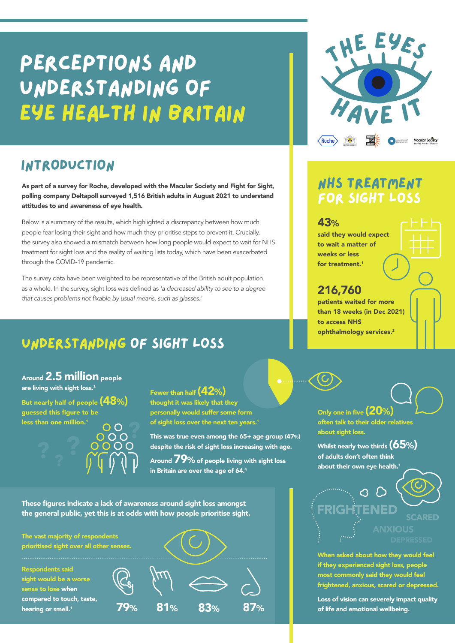# perceptions and understanding of eye health in britain

# introduction

As part of a survey for Roche, developed with the Macular Society and Fight for Sight, polling company Deltapoll surveyed 1,516 British adults in August 2021 to understand attitudes to and awareness of eye health.

Below is a summary of the results, which highlighted a discrepancy between how much people fear losing their sight and how much they prioritise steps to prevent it. Crucially, the survey also showed a mismatch between how long people would expect to wait for NHS treatment for sight loss and the reality of waiting lists today, which have been exacerbated through the COVID-19 pandemic.

The survey data have been weighted to be representative of the British adult population as a whole. In the survey, sight loss was defined as *'a decreased ability to see to a degree*  that causes problems not fixable by usual means, such as glasses.'

# understanding of sight loss

Around 2.5 million people are living with sight loss.<sup>3</sup>

But nearly half of people (48%) guessed this figure to be less than one million.1  $\cap$ 

Fewer than half  $(42%)$ thought it was likely that they personally would suffer some form of sight loss over the next ten years.<sup>1</sup>

This was true even among the 65+ age group (47%) despite the risk of sight loss increasing with age.

Around  $\bf 79$ % of people living with sight loss in Britain are over the age of  $64.^4$ 

These figures indicate a lack of awareness around sight loss amongst the general public, yet this is at odds with how people prioritise sight.





# NHS treatment for sight loss

#### 43%

said they would expect to wait a matter of weeks or less for treatment.<sup>1</sup>

### 216,760

patients waited for more than 18 weeks (in Dec 2021) to access NHS ophthalmology services.<sup>2</sup>

Only one in five (20%) often talk to their older relatives about sight loss.

Whilst nearly two thirds  $(65%)$ of adults don't often think about their own eve health.<sup>1</sup>



When asked about how they would feel if they experienced sight loss, people most commonly said they would feel frightened, anxious, scared or depressed.

Loss of vision can severely impact quality